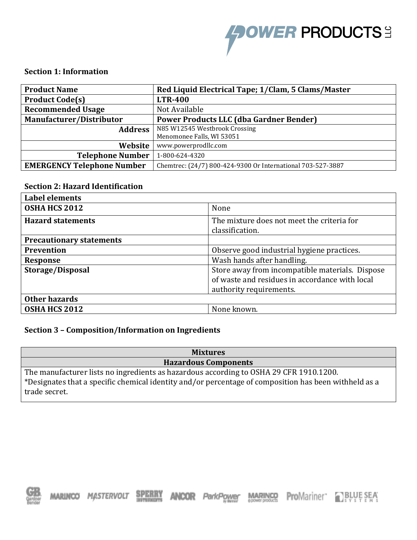

#### **Section 1: Information**

| <b>Product Name</b>               | Red Liquid Electrical Tape; 1/Clam, 5 Clams/Master          |  |  |
|-----------------------------------|-------------------------------------------------------------|--|--|
| <b>Product Code(s)</b>            | <b>LTR-400</b>                                              |  |  |
| <b>Recommended Usage</b>          | Not Available                                               |  |  |
| Manufacturer/Distributor          | <b>Power Products LLC (dba Gardner Bender)</b>              |  |  |
| <b>Address</b>                    | N85 W12545 Westbrook Crossing                               |  |  |
|                                   | Menomonee Falls, WI 53051                                   |  |  |
| Website                           | www.powerprodllc.com                                        |  |  |
| <b>Telephone Number</b>           | 1-800-624-4320                                              |  |  |
| <b>EMERGENCY Telephone Number</b> | Chemtrec: (24/7) 800-424-9300 Or International 703-527-3887 |  |  |

#### **Section 2: Hazard Identification**

| <b>Label elements</b>                                               |                                                |  |  |  |
|---------------------------------------------------------------------|------------------------------------------------|--|--|--|
| <b>OSHA HCS 2012</b>                                                | None                                           |  |  |  |
| <b>Hazard statements</b>                                            | The mixture does not meet the criteria for     |  |  |  |
|                                                                     | classification.                                |  |  |  |
| <b>Precautionary statements</b>                                     |                                                |  |  |  |
| Prevention                                                          | Observe good industrial hygiene practices.     |  |  |  |
| <b>Response</b>                                                     | Wash hands after handling.                     |  |  |  |
| Store away from incompatible materials. Dispose<br>Storage/Disposal |                                                |  |  |  |
|                                                                     | of waste and residues in accordance with local |  |  |  |
|                                                                     | authority requirements.                        |  |  |  |
| Other hazards                                                       |                                                |  |  |  |
| OSHA HCS 2012                                                       | None known.                                    |  |  |  |

#### **Section 3 – Composition/Information on Ingredients**

| <b>Mixtures</b>                                                                                                                                                                                                  |
|------------------------------------------------------------------------------------------------------------------------------------------------------------------------------------------------------------------|
| <b>Hazardous Components</b>                                                                                                                                                                                      |
| The manufacturer lists no ingredients as hazardous according to OSHA 29 CFR 1910.1200.<br>*Designates that a specific chemical identity and/or percentage of composition has been withheld as a<br>trade secret. |



**MARINGR ProMariner** P<sub>sy</sub> BLUE SEA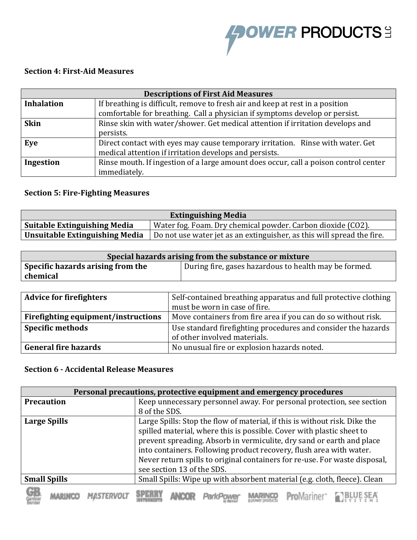

## **Section 4: First-Aid Measures**

| <b>Descriptions of First Aid Measures</b>                                                     |                                                                                      |  |  |  |  |
|-----------------------------------------------------------------------------------------------|--------------------------------------------------------------------------------------|--|--|--|--|
| <b>Inhalation</b>                                                                             | If breathing is difficult, remove to fresh air and keep at rest in a position        |  |  |  |  |
|                                                                                               | comfortable for breathing. Call a physician if symptoms develop or persist.          |  |  |  |  |
| Rinse skin with water/shower. Get medical attention if irritation develops and<br><b>Skin</b> |                                                                                      |  |  |  |  |
|                                                                                               | persists.                                                                            |  |  |  |  |
| Direct contact with eyes may cause temporary irritation. Rinse with water. Get<br>Eye         |                                                                                      |  |  |  |  |
|                                                                                               | medical attention if irritation develops and persists.                               |  |  |  |  |
| Ingestion                                                                                     | Rinse mouth. If ingestion of a large amount does occur, call a poison control center |  |  |  |  |
|                                                                                               | immediately.                                                                         |  |  |  |  |

## **Section 5: Fire-Fighting Measures**

| <b>Extinguishing Media</b>                                                                         |                                                                        |  |  |  |
|----------------------------------------------------------------------------------------------------|------------------------------------------------------------------------|--|--|--|
| <b>Suitable Extinguishing Media</b><br>Water fog. Foam. Dry chemical powder. Carbon dioxide (CO2). |                                                                        |  |  |  |
| <b>Unsuitable Extinguishing Media</b>                                                              | Do not use water jet as an extinguisher, as this will spread the fire. |  |  |  |

| Special hazards arising from the substance or mixture |                                                       |  |  |
|-------------------------------------------------------|-------------------------------------------------------|--|--|
| Specific hazards arising from the                     | During fire, gases hazardous to health may be formed. |  |  |
| chemical                                              |                                                       |  |  |

| <b>Advice for firefighters</b>      | Self-contained breathing apparatus and full protective clothing<br>must be worn in case of fire. |  |  |
|-------------------------------------|--------------------------------------------------------------------------------------------------|--|--|
| Firefighting equipment/instructions | Move containers from fire area if you can do so without risk.                                    |  |  |
| <b>Specific methods</b>             | Use standard firefighting procedures and consider the hazards<br>of other involved materials.    |  |  |
| <b>General fire hazards</b>         | No unusual fire or explosion hazards noted.                                                      |  |  |

## **Section 6 - Accidental Release Measures**

| Personal precautions, protective equipment and emergency procedures |  |                                                                            |                                                                       |  |  |                                                                     |  |  |
|---------------------------------------------------------------------|--|----------------------------------------------------------------------------|-----------------------------------------------------------------------|--|--|---------------------------------------------------------------------|--|--|
| <b>Precaution</b>                                                   |  |                                                                            | Keep unnecessary personnel away. For personal protection, see section |  |  |                                                                     |  |  |
|                                                                     |  | 8 of the SDS.                                                              |                                                                       |  |  |                                                                     |  |  |
| <b>Large Spills</b>                                                 |  | Large Spills: Stop the flow of material, if this is without risk. Dike the |                                                                       |  |  |                                                                     |  |  |
|                                                                     |  | spilled material, where this is possible. Cover with plastic sheet to      |                                                                       |  |  |                                                                     |  |  |
|                                                                     |  | prevent spreading. Absorb in vermiculite, dry sand or earth and place      |                                                                       |  |  |                                                                     |  |  |
|                                                                     |  |                                                                            |                                                                       |  |  | into containers. Following product recovery, flush area with water. |  |  |
|                                                                     |  | Never return spills to original containers for re-use. For waste disposal, |                                                                       |  |  |                                                                     |  |  |
|                                                                     |  | see section 13 of the SDS.                                                 |                                                                       |  |  |                                                                     |  |  |
| <b>Small Spills</b>                                                 |  | Small Spills: Wipe up with absorbent material (e.g. cloth, fleece). Clean  |                                                                       |  |  |                                                                     |  |  |
|                                                                     |  |                                                                            |                                                                       |  |  |                                                                     |  |  |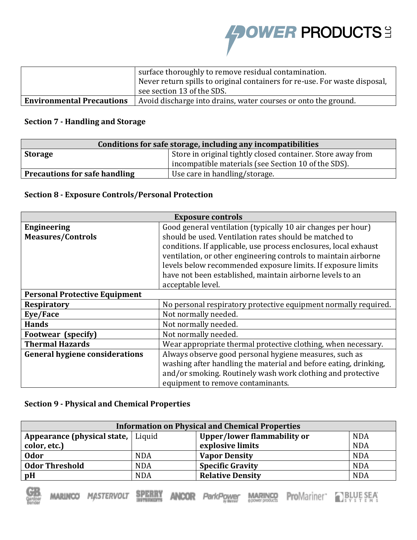

|                                  | surface thoroughly to remove residual contamination.<br>Never return spills to original containers for re-use. For waste disposal,<br>see section 13 of the SDS. |
|----------------------------------|------------------------------------------------------------------------------------------------------------------------------------------------------------------|
| <b>Environmental Precautions</b> | Avoid discharge into drains, water courses or onto the ground.                                                                                                   |

### **Section 7 - Handling and Storage**

| Conditions for safe storage, including any incompatibilities                  |                                                     |  |  |  |
|-------------------------------------------------------------------------------|-----------------------------------------------------|--|--|--|
| Store in original tightly closed container. Store away from<br><b>Storage</b> |                                                     |  |  |  |
|                                                                               | incompatible materials (see Section 10 of the SDS). |  |  |  |
| <b>Precautions for safe handling</b><br>Use care in handling/storage.         |                                                     |  |  |  |

#### **Section 8 - Exposure Controls/Personal Protection**

| <b>Exposure controls</b>              |                                                                  |  |  |  |  |  |
|---------------------------------------|------------------------------------------------------------------|--|--|--|--|--|
| <b>Engineering</b>                    | Good general ventilation (typically 10 air changes per hour)     |  |  |  |  |  |
| <b>Measures/Controls</b>              | should be used. Ventilation rates should be matched to           |  |  |  |  |  |
|                                       | conditions. If applicable, use process enclosures, local exhaust |  |  |  |  |  |
|                                       | ventilation, or other engineering controls to maintain airborne  |  |  |  |  |  |
|                                       | levels below recommended exposure limits. If exposure limits     |  |  |  |  |  |
|                                       | have not been established, maintain airborne levels to an        |  |  |  |  |  |
|                                       | acceptable level.                                                |  |  |  |  |  |
| <b>Personal Protective Equipment</b>  |                                                                  |  |  |  |  |  |
| <b>Respiratory</b>                    | No personal respiratory protective equipment normally required.  |  |  |  |  |  |
| Eye/Face                              | Not normally needed.                                             |  |  |  |  |  |
| <b>Hands</b>                          | Not normally needed.                                             |  |  |  |  |  |
| Footwear (specify)                    | Not normally needed.                                             |  |  |  |  |  |
| <b>Thermal Hazards</b>                | Wear appropriate thermal protective clothing, when necessary.    |  |  |  |  |  |
| <b>General hygiene considerations</b> | Always observe good personal hygiene measures, such as           |  |  |  |  |  |
|                                       | washing after handling the material and before eating, drinking, |  |  |  |  |  |
|                                       | and/or smoking. Routinely wash work clothing and protective      |  |  |  |  |  |
|                                       | equipment to remove contaminants.                                |  |  |  |  |  |

### **Section 9 - Physical and Chemical Properties**

| <b>Information on Physical and Chemical Properties</b> |            |                             |            |  |
|--------------------------------------------------------|------------|-----------------------------|------------|--|
| Appearance (physical state,   Liquid                   |            | Upper/lower flammability or | <b>NDA</b> |  |
| color, etc.)                                           |            | explosive limits            | <b>NDA</b> |  |
| <b>Odor</b>                                            | <b>NDA</b> | <b>Vapor Density</b>        | <b>NDA</b> |  |
| <b>Odor Threshold</b>                                  | <b>NDA</b> | <b>Specific Gravity</b>     | <b>NDA</b> |  |
| pH                                                     | <b>NDA</b> | <b>Relative Density</b>     | <b>NDA</b> |  |



**ANCOR** ParkPower

MARING ProMariner PLBLUE SEA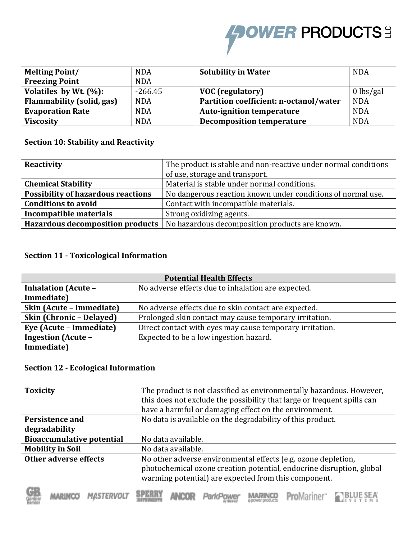# **FOWER PRODUCTS:**

| <b>Melting Point/</b>     | <b>NDA</b> | <b>Solubility in Water</b>             | <b>NDA</b>  |
|---------------------------|------------|----------------------------------------|-------------|
| <b>Freezing Point</b>     | <b>NDA</b> |                                        |             |
| Volatiles by Wt. $(\%):$  | $-266.45$  | <b>VOC</b> (regulatory)                | $0$ lbs/gal |
| Flammability (solid, gas) | <b>NDA</b> | Partition coefficient: n-octanol/water | <b>NDA</b>  |
| <b>Evaporation Rate</b>   | <b>NDA</b> | <b>Auto-ignition temperature</b>       | <b>NDA</b>  |
| <b>Viscosity</b>          | <b>NDA</b> | <b>Decomposition temperature</b>       | <b>NDA</b>  |

## **Section 10: Stability and Reactivity**

| Reactivity                                | The product is stable and non-reactive under normal conditions                    |  |
|-------------------------------------------|-----------------------------------------------------------------------------------|--|
|                                           | of use, storage and transport.                                                    |  |
| <b>Chemical Stability</b>                 | Material is stable under normal conditions.                                       |  |
| <b>Possibility of hazardous reactions</b> | No dangerous reaction known under conditions of normal use.                       |  |
| <b>Conditions to avoid</b>                | Contact with incompatible materials.                                              |  |
| <b>Incompatible materials</b>             | Strong oxidizing agents.                                                          |  |
|                                           | Hazardous decomposition products   No hazardous decomposition products are known. |  |

#### **Section 11 - Toxicological Information**

| <b>Potential Health Effects</b>                                                  |                                                          |  |  |
|----------------------------------------------------------------------------------|----------------------------------------------------------|--|--|
| <b>Inhalation (Acute -</b><br>No adverse effects due to inhalation are expected. |                                                          |  |  |
| Immediate)                                                                       |                                                          |  |  |
| Skin (Acute - Immediate)                                                         | No adverse effects due to skin contact are expected.     |  |  |
| Skin (Chronic - Delayed)                                                         | Prolonged skin contact may cause temporary irritation.   |  |  |
| Eye (Acute – Immediate)                                                          | Direct contact with eyes may cause temporary irritation. |  |  |
| <b>Ingestion (Acute -</b>                                                        | Expected to be a low ingestion hazard.                   |  |  |
| Immediate)                                                                       |                                                          |  |  |

#### **Section 12 - Ecological Information**

| <b>Toxicity</b>                  | The product is not classified as environmentally hazardous. However,<br>this does not exclude the possibility that large or frequent spills can<br>have a harmful or damaging effect on the environment. |  |
|----------------------------------|----------------------------------------------------------------------------------------------------------------------------------------------------------------------------------------------------------|--|
| Persistence and                  | No data is available on the degradability of this product.                                                                                                                                               |  |
| degradability                    |                                                                                                                                                                                                          |  |
| <b>Bioaccumulative potential</b> | No data available.                                                                                                                                                                                       |  |
| <b>Mobility in Soil</b>          | No data available.                                                                                                                                                                                       |  |
| Other adverse effects            | No other adverse environmental effects (e.g. ozone depletion,<br>photochemical ozone creation potential, endocrine disruption, global<br>warming potential) are expected from this component.            |  |

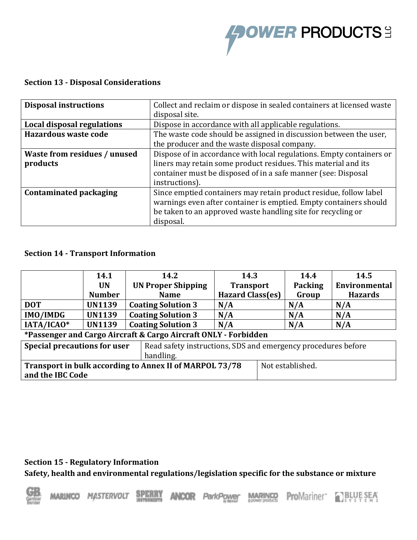

## **Section 13 - Disposal Considerations**

| <b>Disposal instructions</b>        | Collect and reclaim or dispose in sealed containers at licensed waste |  |
|-------------------------------------|-----------------------------------------------------------------------|--|
|                                     | disposal site.                                                        |  |
| Local disposal regulations          | Dispose in accordance with all applicable regulations.                |  |
| <b>Hazardous waste code</b>         | The waste code should be assigned in discussion between the user,     |  |
|                                     | the producer and the waste disposal company.                          |  |
| <b>Waste from residues / unused</b> | Dispose of in accordance with local regulations. Empty containers or  |  |
| products                            | liners may retain some product residues. This material and its        |  |
|                                     | container must be disposed of in a safe manner (see: Disposal         |  |
|                                     | instructions).                                                        |  |
| <b>Contaminated packaging</b>       | Since emptied containers may retain product residue, follow label     |  |
|                                     | warnings even after container is emptied. Empty containers should     |  |
|                                     | be taken to an approved waste handling site for recycling or          |  |
|                                     | disposal.                                                             |  |

#### **Section 14 - Transport Information**

|                                                                 | 14.1          | 14.2                                                          | 14.3                    |                  | 14.4           | 14.5           |
|-----------------------------------------------------------------|---------------|---------------------------------------------------------------|-------------------------|------------------|----------------|----------------|
|                                                                 | <b>UN</b>     | <b>UN Proper Shipping</b>                                     | <b>Transport</b>        |                  | <b>Packing</b> | Environmental  |
|                                                                 | <b>Number</b> | <b>Name</b>                                                   | <b>Hazard Class(es)</b> |                  | Group          | <b>Hazards</b> |
| <b>DOT</b>                                                      | <b>UN1139</b> | <b>Coating Solution 3</b>                                     | N/A                     |                  | N/A            | N/A            |
| <b>IMO/IMDG</b>                                                 | <b>UN1139</b> | <b>Coating Solution 3</b>                                     | N/A                     |                  | N/A            | N/A            |
| IATA/ICAO*                                                      | <b>UN1139</b> | <b>Coating Solution 3</b>                                     | N/A                     |                  | N/A            | N/A            |
| *Passenger and Cargo Aircraft & Cargo Aircraft ONLY - Forbidden |               |                                                               |                         |                  |                |                |
| Special precautions for user                                    |               | Read safety instructions, SDS and emergency procedures before |                         |                  |                |                |
| handling.                                                       |               |                                                               |                         |                  |                |                |
| Transport in bulk according to Annex II of MARPOL 73/78         |               |                                                               |                         | Not established. |                |                |
| and the IBC Code                                                |               |                                                               |                         |                  |                |                |

#### **Section 15 - Regulatory Information**

**Safety, health and environmental regulations/legislation specific for the substance or mixture**

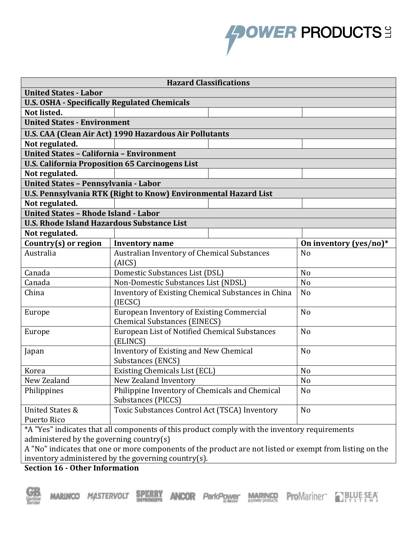

| <b>Hazard Classifications</b>                                                                             |                                                                                                    |                        |  |  |
|-----------------------------------------------------------------------------------------------------------|----------------------------------------------------------------------------------------------------|------------------------|--|--|
| <b>United States - Labor</b>                                                                              |                                                                                                    |                        |  |  |
| <b>U.S. OSHA - Specifically Regulated Chemicals</b>                                                       |                                                                                                    |                        |  |  |
| Not listed.                                                                                               |                                                                                                    |                        |  |  |
| <b>United States - Environment</b>                                                                        |                                                                                                    |                        |  |  |
|                                                                                                           | U.S. CAA (Clean Air Act) 1990 Hazardous Air Pollutants                                             |                        |  |  |
| Not regulated.                                                                                            |                                                                                                    |                        |  |  |
| <b>United States - California - Environment</b>                                                           |                                                                                                    |                        |  |  |
|                                                                                                           | <b>U.S. California Proposition 65 Carcinogens List</b>                                             |                        |  |  |
| Not regulated.                                                                                            |                                                                                                    |                        |  |  |
| United States - Pennsylvania - Labor                                                                      |                                                                                                    |                        |  |  |
|                                                                                                           | <b>U.S. Pennsylvania RTK (Right to Know) Environmental Hazard List</b>                             |                        |  |  |
| Not regulated.                                                                                            |                                                                                                    |                        |  |  |
| <b>United States - Rhode Island - Labor</b>                                                               |                                                                                                    |                        |  |  |
| <b>U.S. Rhode Island Hazardous Substance List</b>                                                         |                                                                                                    |                        |  |  |
| Not regulated.                                                                                            |                                                                                                    |                        |  |  |
| Country(s) or region                                                                                      | <b>Inventory name</b>                                                                              | On inventory (yes/no)* |  |  |
| Australia                                                                                                 | Australian Inventory of Chemical Substances<br>N <sub>o</sub><br>(AICS)                            |                        |  |  |
| Canada                                                                                                    | Domestic Substances List (DSL)                                                                     | N <sub>o</sub>         |  |  |
| Canada                                                                                                    | Non-Domestic Substances List (NDSL)                                                                | N <sub>o</sub>         |  |  |
| China                                                                                                     | Inventory of Existing Chemical Substances in China<br>N <sub>o</sub><br>(IECSC)                    |                        |  |  |
| Europe                                                                                                    | European Inventory of Existing Commercial<br>N <sub>o</sub><br><b>Chemical Substances (EINECS)</b> |                        |  |  |
| Europe                                                                                                    | European List of Notified Chemical Substances<br>N <sub>o</sub><br>(ELINCS)                        |                        |  |  |
| Japan                                                                                                     | Inventory of Existing and New Chemical<br>N <sub>o</sub><br>Substances (ENCS)                      |                        |  |  |
| Korea                                                                                                     | Existing Chemicals List (ECL)<br>N <sub>o</sub>                                                    |                        |  |  |
| New Zealand                                                                                               | New Zealand Inventory                                                                              | No                     |  |  |
| Philippines                                                                                               | Philippine Inventory of Chemicals and Chemical<br>Substances (PICCS)                               | No                     |  |  |
| <b>United States &amp;</b>                                                                                | Toxic Substances Control Act (TSCA) Inventory<br>N <sub>0</sub>                                    |                        |  |  |
| Puerto Rico                                                                                               |                                                                                                    |                        |  |  |
| *A "Yes" indicates that all components of this product comply with the inventory requirements             |                                                                                                    |                        |  |  |
| administered by the governing country $(s)$                                                               |                                                                                                    |                        |  |  |
| A "No" indicates that ano an mana companents of the product are not listed an example from listing on the |                                                                                                    |                        |  |  |

A "No" indicates that one or more components of the product are not listed or exempt from listing on the inventory administered by the governing country(s).

**Section 16 - Other Information**